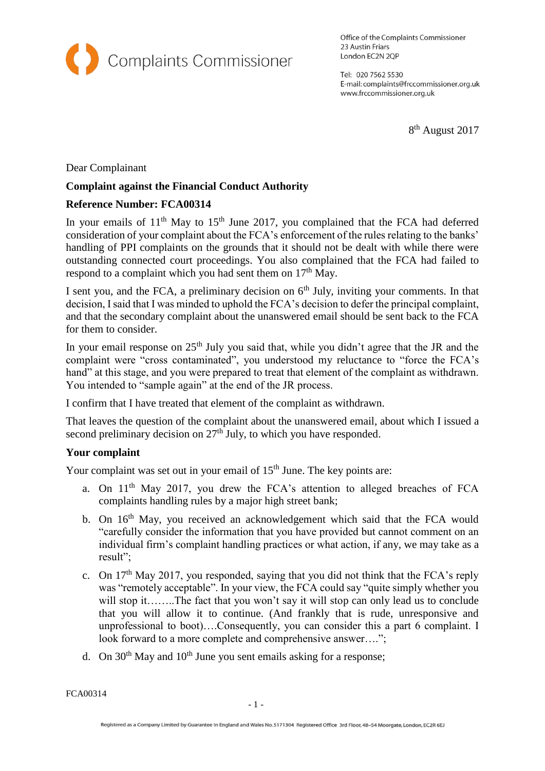

Office of the Complaints Commissioner 23 Austin Friars London EC2N 2QP

Tel: 020 7562 5530 E-mail: complaints@frccommissioner.org.uk www.frccommissioner.org.uk

8<sup>th</sup> August 2017

Dear Complainant

### **Complaint against the Financial Conduct Authority**

#### **Reference Number: FCA00314**

In your emails of  $11<sup>th</sup>$  May to  $15<sup>th</sup>$  June 2017, you complained that the FCA had deferred consideration of your complaint about the FCA's enforcement of the rules relating to the banks' handling of PPI complaints on the grounds that it should not be dealt with while there were outstanding connected court proceedings. You also complained that the FCA had failed to respond to a complaint which you had sent them on  $17<sup>th</sup>$  May.

I sent you, and the FCA, a preliminary decision on  $6<sup>th</sup>$  July, inviting your comments. In that decision, I said that I was minded to uphold the FCA's decision to defer the principal complaint, and that the secondary complaint about the unanswered email should be sent back to the FCA for them to consider.

In your email response on 25<sup>th</sup> July you said that, while you didn't agree that the JR and the complaint were "cross contaminated", you understood my reluctance to "force the FCA's hand" at this stage, and you were prepared to treat that element of the complaint as withdrawn. You intended to "sample again" at the end of the JR process.

I confirm that I have treated that element of the complaint as withdrawn.

That leaves the question of the complaint about the unanswered email, about which I issued a second preliminary decision on  $27<sup>th</sup>$  July, to which you have responded.

### **Your complaint**

Your complaint was set out in your email of  $15<sup>th</sup>$  June. The key points are:

- a. On 11<sup>th</sup> May 2017, you drew the FCA's attention to alleged breaches of FCA complaints handling rules by a major high street bank;
- b. On 16<sup>th</sup> May, you received an acknowledgement which said that the FCA would "carefully consider the information that you have provided but cannot comment on an individual firm's complaint handling practices or what action, if any, we may take as a result";
- c. On  $17<sup>th</sup>$  May 2017, you responded, saying that you did not think that the FCA's reply was "remotely acceptable". In your view, the FCA could say "quite simply whether you will stop it……..The fact that you won't say it will stop can only lead us to conclude that you will allow it to continue. (And frankly that is rude, unresponsive and unprofessional to boot)….Consequently, you can consider this a part 6 complaint. I look forward to a more complete and comprehensive answer....";
- d. On  $30<sup>th</sup>$  May and  $10<sup>th</sup>$  June you sent emails asking for a response;

FCA00314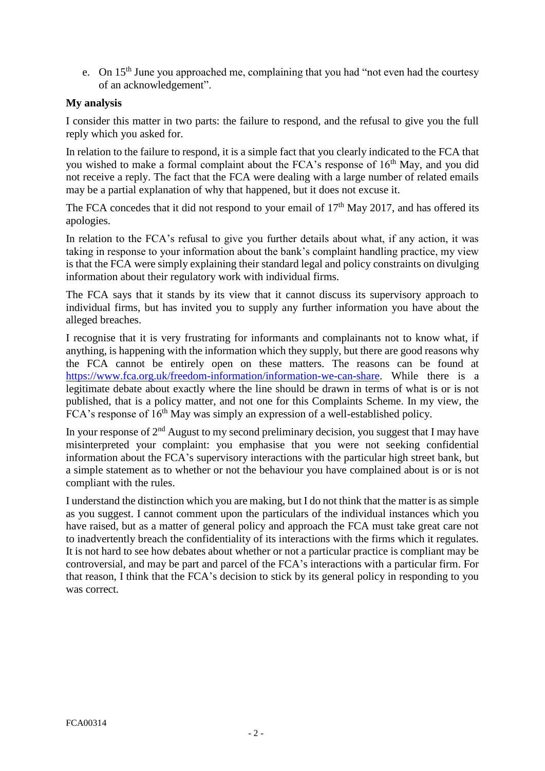e. On 15<sup>th</sup> June you approached me, complaining that you had "not even had the courtesy" of an acknowledgement".

# **My analysis**

I consider this matter in two parts: the failure to respond, and the refusal to give you the full reply which you asked for.

In relation to the failure to respond, it is a simple fact that you clearly indicated to the FCA that you wished to make a formal complaint about the FCA's response of 16<sup>th</sup> May, and you did not receive a reply. The fact that the FCA were dealing with a large number of related emails may be a partial explanation of why that happened, but it does not excuse it.

The FCA concedes that it did not respond to your email of  $17<sup>th</sup>$  May 2017, and has offered its apologies.

In relation to the FCA's refusal to give you further details about what, if any action, it was taking in response to your information about the bank's complaint handling practice, my view is that the FCA were simply explaining their standard legal and policy constraints on divulging information about their regulatory work with individual firms.

The FCA says that it stands by its view that it cannot discuss its supervisory approach to individual firms, but has invited you to supply any further information you have about the alleged breaches.

I recognise that it is very frustrating for informants and complainants not to know what, if anything, is happening with the information which they supply, but there are good reasons why the FCA cannot be entirely open on these matters. The reasons can be found at [https://www.fca.org.uk/freedom-information/information-we-can-share.](https://www.fca.org.uk/freedom-information/information-we-can-share) While there is a legitimate debate about exactly where the line should be drawn in terms of what is or is not published, that is a policy matter, and not one for this Complaints Scheme. In my view, the FCA's response of  $16<sup>th</sup>$  May was simply an expression of a well-established policy.

In your response of  $2<sup>nd</sup>$  August to my second preliminary decision, you suggest that I may have misinterpreted your complaint: you emphasise that you were not seeking confidential information about the FCA's supervisory interactions with the particular high street bank, but a simple statement as to whether or not the behaviour you have complained about is or is not compliant with the rules.

I understand the distinction which you are making, but I do not think that the matter is as simple as you suggest. I cannot comment upon the particulars of the individual instances which you have raised, but as a matter of general policy and approach the FCA must take great care not to inadvertently breach the confidentiality of its interactions with the firms which it regulates. It is not hard to see how debates about whether or not a particular practice is compliant may be controversial, and may be part and parcel of the FCA's interactions with a particular firm. For that reason, I think that the FCA's decision to stick by its general policy in responding to you was correct.